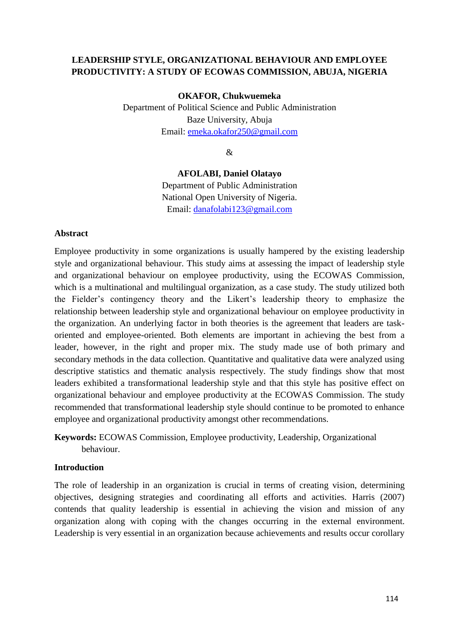# **LEADERSHIP STYLE, ORGANIZATIONAL BEHAVIOUR AND EMPLOYEE PRODUCTIVITY: A STUDY OF ECOWAS COMMISSION, ABUJA, NIGERIA**

### **OKAFOR, Chukwuemeka**

Department of Political Science and Public Administration Baze University, Abuja Email: [emeka.okafor250@gmail.com](mailto:emeka.okafor250@gmail.com)

&

### **AFOLABI, Daniel Olatayo**

Department of Public Administration National Open University of Nigeria. Email: [danafolabi123@gmail.com](mailto:danafolabi123@gmail.com)

#### **Abstract**

Employee productivity in some organizations is usually hampered by the existing leadership style and organizational behaviour. This study aims at assessing the impact of leadership style and organizational behaviour on employee productivity, using the ECOWAS Commission, which is a multinational and multilingual organization, as a case study. The study utilized both the Fielder's contingency theory and the Likert's leadership theory to emphasize the relationship between leadership style and organizational behaviour on employee productivity in the organization. An underlying factor in both theories is the agreement that leaders are taskoriented and employee-oriented. Both elements are important in achieving the best from a leader, however, in the right and proper mix. The study made use of both primary and secondary methods in the data collection. Quantitative and qualitative data were analyzed using descriptive statistics and thematic analysis respectively. The study findings show that most leaders exhibited a transformational leadership style and that this style has positive effect on organizational behaviour and employee productivity at the ECOWAS Commission. The study recommended that transformational leadership style should continue to be promoted to enhance employee and organizational productivity amongst other recommendations.

**Keywords:** ECOWAS Commission, Employee productivity, Leadership, Organizational behaviour.

#### **Introduction**

The role of leadership in an organization is crucial in terms of creating vision, determining objectives, designing strategies and coordinating all efforts and activities. Harris (2007) contends that quality leadership is essential in achieving the vision and mission of any organization along with coping with the changes occurring in the external environment. Leadership is very essential in an organization because achievements and results occur corollary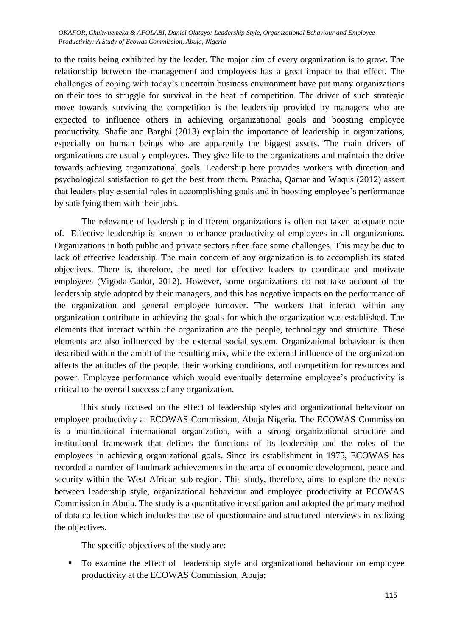to the traits being exhibited by the leader. The major aim of every organization is to grow. The relationship between the management and employees has a great impact to that effect. The challenges of coping with today's uncertain business environment have put many organizations on their toes to struggle for survival in the heat of competition. The driver of such strategic move towards surviving the competition is the leadership provided by managers who are expected to influence others in achieving organizational goals and boosting employee productivity. Shafie and Barghi (2013) explain the importance of leadership in organizations, especially on human beings who are apparently the biggest assets. The main drivers of organizations are usually employees. They give life to the organizations and maintain the drive towards achieving organizational goals. Leadership here provides workers with direction and psychological satisfaction to get the best from them. Paracha, Qamar and Waqus (2012) assert that leaders play essential roles in accomplishing goals and in boosting employee's performance by satisfying them with their jobs.

The relevance of leadership in different organizations is often not taken adequate note of. Effective leadership is known to enhance productivity of employees in all organizations. Organizations in both public and private sectors often face some challenges. This may be due to lack of effective leadership. The main concern of any organization is to accomplish its stated objectives. There is, therefore, the need for effective leaders to coordinate and motivate employees (Vigoda-Gadot, 2012). However, some organizations do not take account of the leadership style adopted by their managers, and this has negative impacts on the performance of the organization and general employee turnover. The workers that interact within any organization contribute in achieving the goals for which the organization was established. The elements that interact within the organization are the people, technology and structure. These elements are also influenced by the external social system. Organizational behaviour is then described within the ambit of the resulting mix, while the external influence of the organization affects the attitudes of the people, their working conditions, and competition for resources and power. Employee performance which would eventually determine employee's productivity is critical to the overall success of any organization.

This study focused on the effect of leadership styles and organizational behaviour on employee productivity at ECOWAS Commission, Abuja Nigeria. The ECOWAS Commission is a multinational international organization, with a strong organizational structure and institutional framework that defines the functions of its leadership and the roles of the employees in achieving organizational goals. Since its establishment in 1975, ECOWAS has recorded a number of landmark achievements in the area of economic development, peace and security within the West African sub-region. This study, therefore, aims to explore the nexus between leadership style, organizational behaviour and employee productivity at ECOWAS Commission in Abuja. The study is a quantitative investigation and adopted the primary method of data collection which includes the use of questionnaire and structured interviews in realizing the objectives.

The specific objectives of the study are:

To examine the effect of leadership style and organizational behaviour on employee productivity at the ECOWAS Commission, Abuja;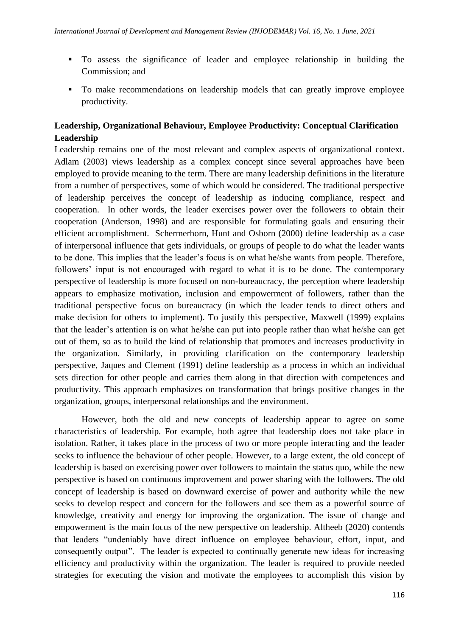- To assess the significance of leader and employee relationship in building the Commission; and
- To make recommendations on leadership models that can greatly improve employee productivity.

# **Leadership, Organizational Behaviour, Employee Productivity: Conceptual Clarification Leadership**

Leadership remains one of the most relevant and complex aspects of organizational context. Adlam (2003) views leadership as a complex concept since several approaches have been employed to provide meaning to the term. There are many leadership definitions in the literature from a number of perspectives, some of which would be considered. The traditional perspective of leadership perceives the concept of leadership as inducing compliance, respect and cooperation. In other words, the leader exercises power over the followers to obtain their cooperation (Anderson, 1998) and are responsible for formulating goals and ensuring their efficient accomplishment. Schermerhorn, Hunt and Osborn (2000) define leadership as a case of interpersonal influence that gets individuals, or groups of people to do what the leader wants to be done. This implies that the leader's focus is on what he/she wants from people. Therefore, followers' input is not encouraged with regard to what it is to be done. The contemporary perspective of leadership is more focused on non-bureaucracy, the perception where leadership appears to emphasize motivation, inclusion and empowerment of followers, rather than the traditional perspective focus on bureaucracy (in which the leader tends to direct others and make decision for others to implement). To justify this perspective, Maxwell (1999) explains that the leader's attention is on what he/she can put into people rather than what he/she can get out of them, so as to build the kind of relationship that promotes and increases productivity in the organization. Similarly, in providing clarification on the contemporary leadership perspective, Jaques and Clement (1991) define leadership as a process in which an individual sets direction for other people and carries them along in that direction with competences and productivity. This approach emphasizes on transformation that brings positive changes in the organization, groups, interpersonal relationships and the environment.

However, both the old and new concepts of leadership appear to agree on some characteristics of leadership. For example, both agree that leadership does not take place in isolation. Rather, it takes place in the process of two or more people interacting and the leader seeks to influence the behaviour of other people. However, to a large extent, the old concept of leadership is based on exercising power over followers to maintain the status quo, while the new perspective is based on continuous improvement and power sharing with the followers. The old concept of leadership is based on downward exercise of power and authority while the new seeks to develop respect and concern for the followers and see them as a powerful source of knowledge, creativity and energy for improving the organization. The issue of change and empowerment is the main focus of the new perspective on leadership. Altheeb (2020) contends that leaders "undeniably have direct influence on employee behaviour, effort, input, and consequently output". The leader is expected to continually generate new ideas for increasing efficiency and productivity within the organization. The leader is required to provide needed strategies for executing the vision and motivate the employees to accomplish this vision by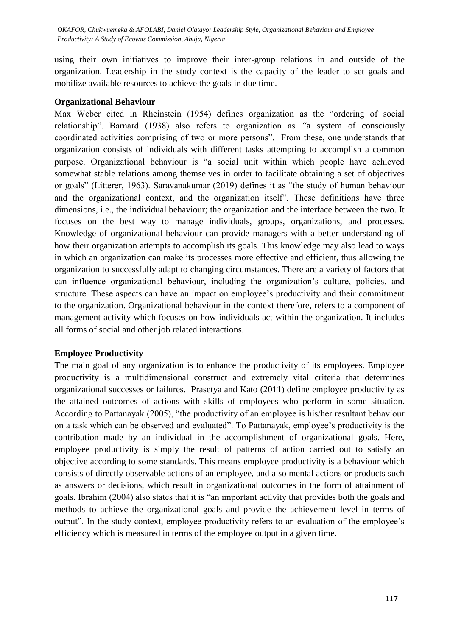using their own initiatives to improve their inter-group relations in and outside of the organization. Leadership in the study context is the capacity of the leader to set goals and mobilize available resources to achieve the goals in due time.

#### **Organizational Behaviour**

Max Weber cited in Rheinstein (1954) defines organization as the "ordering of social relationship". Barnard (1938) also refers to organization as "a system of consciously coordinated activities comprising of two or more persons". From these, one understands that organization consists of individuals with different tasks attempting to accomplish a common purpose. Organizational behaviour is "a social unit within which people have achieved somewhat stable relations among themselves in order to facilitate obtaining a set of objectives or goals" (Litterer, 1963). Saravanakumar (2019) defines it as "the study of human behaviour and the organizational context, and the organization itself". These definitions have three dimensions, i.e., the individual behaviour; the organization and the interface between the two. It focuses on the best way to manage individuals, groups, organizations, and processes. Knowledge of organizational behaviour can provide managers with a better understanding of how their organization attempts to accomplish its goals. This knowledge may also lead to ways in which an organization can make its processes more effective and efficient, thus allowing the organization to successfully adapt to changing circumstances. There are a variety of factors that can influence organizational behaviour, including the organization's culture, policies, and structure. These aspects can have an impact on employee's productivity and their commitment to the organization. Organizational behaviour in the context therefore, refers to a component of management activity which focuses on how individuals act within the organization. It includes all forms of social and other job related interactions.

### **Employee Productivity**

The main goal of any organization is to enhance the productivity of its employees. Employee productivity is a multidimensional construct and extremely vital criteria that determines organizational successes or failures. Prasetya and Kato (2011) define employee productivity as the attained outcomes of actions with skills of employees who perform in some situation. According to Pattanayak (2005), "the productivity of an employee is his/her resultant behaviour on a task which can be observed and evaluated". To Pattanayak, employee's productivity is the contribution made by an individual in the accomplishment of organizational goals. Here, employee productivity is simply the result of patterns of action carried out to satisfy an objective according to some standards. This means employee productivity is a behaviour which consists of directly observable actions of an employee, and also mental actions or products such as answers or decisions, which result in organizational outcomes in the form of attainment of goals. Ibrahim (2004) also states that it is "an important activity that provides both the goals and methods to achieve the organizational goals and provide the achievement level in terms of output". In the study context, employee productivity refers to an evaluation of the employee's efficiency which is measured in terms of the employee output in a given time.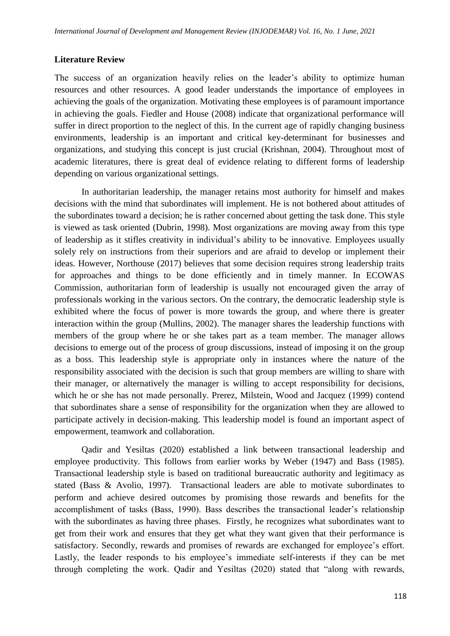### **Literature Review**

The success of an organization heavily relies on the leader's ability to optimize human resources and other resources. A good leader understands the importance of employees in achieving the goals of the organization. Motivating these employees is of paramount importance in achieving the goals. Fiedler and House (2008) indicate that organizational performance will suffer in direct proportion to the neglect of this. In the current age of rapidly changing business environments, leadership is an important and critical key-determinant for businesses and organizations, and studying this concept is just crucial (Krishnan, 2004). Throughout most of academic literatures, there is great deal of evidence relating to different forms of leadership depending on various organizational settings.

In authoritarian leadership, the manager retains most authority for himself and makes decisions with the mind that subordinates will implement. He is not bothered about attitudes of the subordinates toward a decision; he is rather concerned about getting the task done. This style is viewed as task oriented (Dubrin, 1998). Most organizations are moving away from this type of leadership as it stifles creativity in individual's ability to be innovative. Employees usually solely rely on instructions from their superiors and are afraid to develop or implement their ideas. However, Northouse (2017) believes that some decision requires strong leadership traits for approaches and things to be done efficiently and in timely manner. In ECOWAS Commission, authoritarian form of leadership is usually not encouraged given the array of professionals working in the various sectors. On the contrary, the democratic leadership style is exhibited where the focus of power is more towards the group, and where there is greater interaction within the group (Mullins, 2002). The manager shares the leadership functions with members of the group where he or she takes part as a team member. The manager allows decisions to emerge out of the process of group discussions, instead of imposing it on the group as a boss. This leadership style is appropriate only in instances where the nature of the responsibility associated with the decision is such that group members are willing to share with their manager, or alternatively the manager is willing to accept responsibility for decisions, which he or she has not made personally. Prerez, Milstein, Wood and Jacquez (1999) contend that subordinates share a sense of responsibility for the organization when they are allowed to participate actively in decision-making. This leadership model is found an important aspect of empowerment, teamwork and collaboration.

Qadir and Yesiltas (2020) established a link between transactional leadership and employee productivity. This follows from earlier works by Weber (1947) and Bass (1985). Transactional leadership style is based on traditional bureaucratic authority and legitimacy as stated (Bass & Avolio, 1997). Transactional leaders are able to motivate subordinates to perform and achieve desired outcomes by promising those rewards and benefits for the accomplishment of tasks (Bass, 1990). Bass describes the transactional leader's relationship with the subordinates as having three phases. Firstly, he recognizes what subordinates want to get from their work and ensures that they get what they want given that their performance is satisfactory. Secondly, rewards and promises of rewards are exchanged for employee's effort. Lastly, the leader responds to his employee's immediate self-interests if they can be met through completing the work. Qadir and Yesiltas (2020) stated that "along with rewards,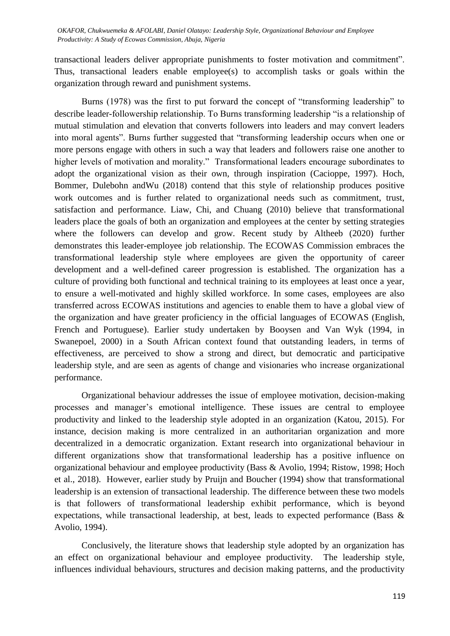transactional leaders deliver appropriate punishments to foster motivation and commitment". Thus, transactional leaders enable employee(s) to accomplish tasks or goals within the organization through reward and punishment systems.

Burns (1978) was the first to put forward the concept of "transforming leadership" to describe leader-followership relationship. To Burns transforming leadership "is a relationship of mutual stimulation and elevation that converts followers into leaders and may convert leaders into moral agents". Burns further suggested that "transforming leadership occurs when one or more persons engage with others in such a way that leaders and followers raise one another to higher levels of motivation and morality." Transformational leaders encourage subordinates to adopt the organizational vision as their own, through inspiration (Cacioppe, 1997). Hoch, Bommer, Dulebohn andWu (2018) contend that this style of relationship produces positive work outcomes and is further related to organizational needs such as commitment, trust, satisfaction and performance. Liaw, Chi, and Chuang (2010) believe that transformational leaders place the goals of both an organization and employees at the center by setting strategies where the followers can develop and grow. Recent study by Altheeb (2020) further demonstrates this leader-employee job relationship. The ECOWAS Commission embraces the transformational leadership style where employees are given the opportunity of career development and a well-defined career progression is established. The organization has a culture of providing both functional and technical training to its employees at least once a year, to ensure a well-motivated and highly skilled workforce. In some cases, employees are also transferred across ECOWAS institutions and agencies to enable them to have a global view of the organization and have greater proficiency in the official languages of ECOWAS (English, French and Portuguese). Earlier study undertaken by Booysen and Van Wyk (1994, in Swanepoel, 2000) in a South African context found that outstanding leaders, in terms of effectiveness, are perceived to show a strong and direct, but democratic and participative leadership style, and are seen as agents of change and visionaries who increase organizational performance.

Organizational behaviour addresses the issue of employee motivation, decision-making processes and manager's emotional intelligence. These issues are central to employee productivity and linked to the leadership style adopted in an organization (Katou, 2015). For instance, decision making is more centralized in an authoritarian organization and more decentralized in a democratic organization. Extant research into organizational behaviour in different organizations show that transformational leadership has a positive influence on organizational behaviour and employee productivity (Bass & Avolio, 1994; Ristow, 1998; Hoch et al., 2018). However, earlier study by Pruijn and Boucher (1994) show that transformational leadership is an extension of transactional leadership. The difference between these two models is that followers of transformational leadership exhibit performance, which is beyond expectations, while transactional leadership, at best, leads to expected performance (Bass & Avolio, 1994).

Conclusively, the literature shows that leadership style adopted by an organization has an effect on organizational behaviour and employee productivity. The leadership style, influences individual behaviours, structures and decision making patterns, and the productivity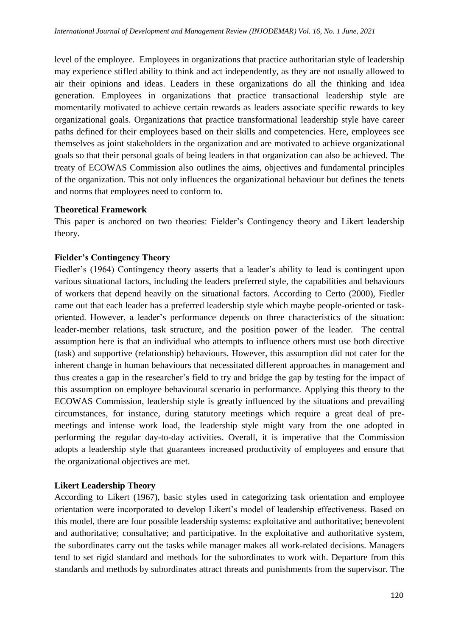level of the employee. Employees in organizations that practice authoritarian style of leadership may experience stifled ability to think and act independently, as they are not usually allowed to air their opinions and ideas. Leaders in these organizations do all the thinking and idea generation. Employees in organizations that practice transactional leadership style are momentarily motivated to achieve certain rewards as leaders associate specific rewards to key organizational goals. Organizations that practice transformational leadership style have career paths defined for their employees based on their skills and competencies. Here, employees see themselves as joint stakeholders in the organization and are motivated to achieve organizational goals so that their personal goals of being leaders in that organization can also be achieved. The treaty of ECOWAS Commission also outlines the aims, objectives and fundamental principles of the organization. This not only influences the organizational behaviour but defines the tenets and norms that employees need to conform to.

### **Theoretical Framework**

This paper is anchored on two theories: Fielder's Contingency theory and Likert leadership theory.

# **Fielder's Contingency Theory**

Fiedler's (1964) Contingency theory asserts that a leader's ability to lead is contingent upon various situational factors, including the leaders preferred style, the capabilities and behaviours of workers that depend heavily on the situational factors. According to Certo (2000), Fiedler came out that each leader has a preferred leadership style which maybe people-oriented or taskoriented. However, a leader's performance depends on three characteristics of the situation: leader-member relations, task structure, and the position power of the leader. The central assumption here is that an individual who attempts to influence others must use both directive (task) and supportive (relationship) behaviours. However, this assumption did not cater for the inherent change in human behaviours that necessitated different approaches in management and thus creates a gap in the researcher's field to try and bridge the gap by testing for the impact of this assumption on employee behavioural scenario in performance. Applying this theory to the ECOWAS Commission, leadership style is greatly influenced by the situations and prevailing circumstances, for instance, during statutory meetings which require a great deal of premeetings and intense work load, the leadership style might vary from the one adopted in performing the regular day-to-day activities. Overall, it is imperative that the Commission adopts a leadership style that guarantees increased productivity of employees and ensure that the organizational objectives are met.

### **Likert Leadership Theory**

According to Likert (1967), basic styles used in categorizing task orientation and employee orientation were incorporated to develop Likert's model of leadership effectiveness. Based on this model, there are four possible leadership systems: exploitative and authoritative; benevolent and authoritative; consultative; and participative. In the exploitative and authoritative system, the subordinates carry out the tasks while manager makes all work-related decisions. Managers tend to set rigid standard and methods for the subordinates to work with. Departure from this standards and methods by subordinates attract threats and punishments from the supervisor. The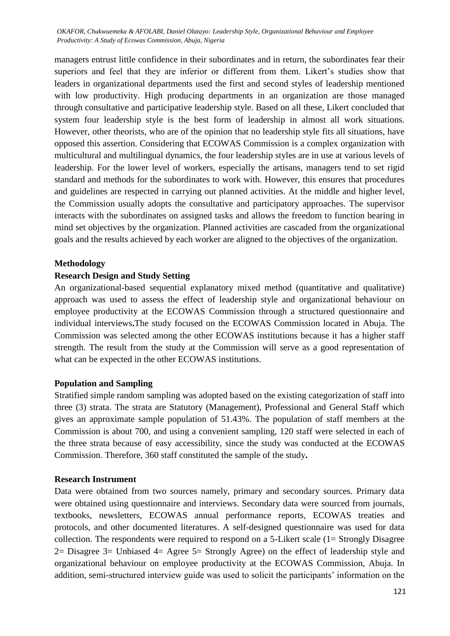managers entrust little confidence in their subordinates and in return, the subordinates fear their superiors and feel that they are inferior or different from them. Likert's studies show that leaders in organizational departments used the first and second styles of leadership mentioned with low productivity. High producing departments in an organization are those managed through consultative and participative leadership style. Based on all these, Likert concluded that system four leadership style is the best form of leadership in almost all work situations. However, other theorists, who are of the opinion that no leadership style fits all situations, have opposed this assertion. Considering that ECOWAS Commission is a complex organization with multicultural and multilingual dynamics, the four leadership styles are in use at various levels of leadership. For the lower level of workers, especially the artisans, managers tend to set rigid standard and methods for the subordinates to work with. However, this ensures that procedures and guidelines are respected in carrying out planned activities. At the middle and higher level, the Commission usually adopts the consultative and participatory approaches. The supervisor interacts with the subordinates on assigned tasks and allows the freedom to function bearing in mind set objectives by the organization. Planned activities are cascaded from the organizational goals and the results achieved by each worker are aligned to the objectives of the organization.

#### **Methodology**

#### **Research Design and Study Setting**

An organizational-based sequential explanatory mixed method (quantitative and qualitative) approach was used to assess the effect of leadership style and organizational behaviour on employee productivity at the ECOWAS Commission through a structured questionnaire and individual interviews**.**The study focused on the ECOWAS Commission located in Abuja. The Commission was selected among the other ECOWAS institutions because it has a higher staff strength. The result from the study at the Commission will serve as a good representation of what can be expected in the other ECOWAS institutions.

#### **Population and Sampling**

Stratified simple random sampling was adopted based on the existing categorization of staff into three (3) strata. The strata are Statutory (Management), Professional and General Staff which gives an approximate sample population of 51.43%. The population of staff members at the Commission is about 700, and using a convenient sampling, 120 staff were selected in each of the three strata because of easy accessibility, since the study was conducted at the ECOWAS Commission. Therefore, 360 staff constituted the sample of the study**.**

#### **Research Instrument**

Data were obtained from two sources namely, primary and secondary sources. Primary data were obtained using questionnaire and interviews. Secondary data were sourced from journals, textbooks, newsletters, ECOWAS annual performance reports, ECOWAS treaties and protocols, and other documented literatures. A self-designed questionnaire was used for data collection. The respondents were required to respond on a 5-Likert scale (1= Strongly Disagree 2= Disagree 3= Unbiased 4= Agree 5= Strongly Agree) on the effect of leadership style and organizational behaviour on employee productivity at the ECOWAS Commission, Abuja. In addition, semi-structured interview guide was used to solicit the participants' information on the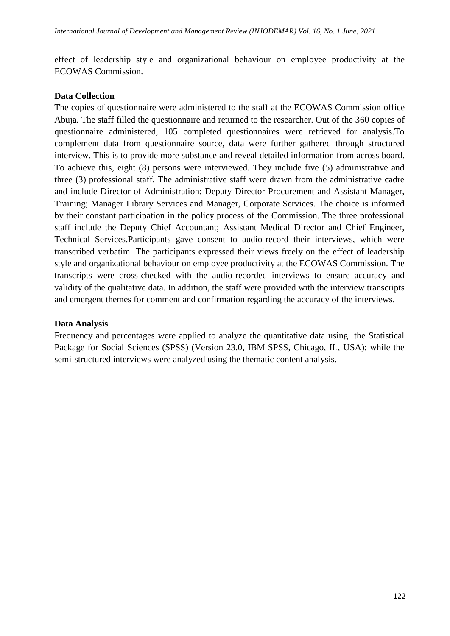effect of leadership style and organizational behaviour on employee productivity at the ECOWAS Commission.

## **Data Collection**

The copies of questionnaire were administered to the staff at the ECOWAS Commission office Abuja. The staff filled the questionnaire and returned to the researcher. Out of the 360 copies of questionnaire administered, 105 completed questionnaires were retrieved for analysis.To complement data from questionnaire source, data were further gathered through structured interview. This is to provide more substance and reveal detailed information from across board. To achieve this, eight (8) persons were interviewed. They include five (5) administrative and three (3) professional staff. The administrative staff were drawn from the administrative cadre and include Director of Administration; Deputy Director Procurement and Assistant Manager, Training; Manager Library Services and Manager, Corporate Services. The choice is informed by their constant participation in the policy process of the Commission. The three professional staff include the Deputy Chief Accountant; Assistant Medical Director and Chief Engineer, Technical Services.Participants gave consent to audio-record their interviews, which were transcribed verbatim. The participants expressed their views freely on the effect of leadership style and organizational behaviour on employee productivity at the ECOWAS Commission. The transcripts were cross-checked with the audio-recorded interviews to ensure accuracy and validity of the qualitative data. In addition, the staff were provided with the interview transcripts and emergent themes for comment and confirmation regarding the accuracy of the interviews.

# **Data Analysis**

Frequency and percentages were applied to analyze the quantitative data using the Statistical Package for Social Sciences (SPSS) (Version 23.0, IBM SPSS, Chicago, IL, USA); while the semi-structured interviews were analyzed using the thematic content analysis.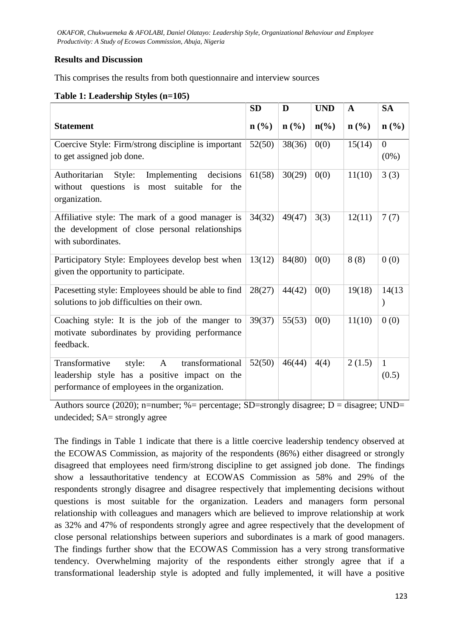# **Results and Discussion**

This comprises the results from both questionnaire and interview sources

## **Table 1: Leadership Styles (n=105)**

|                                                                                                                                                     | <b>SD</b>                   | D                           | <b>UND</b>                  | A                           | <b>SA</b>                 |
|-----------------------------------------------------------------------------------------------------------------------------------------------------|-----------------------------|-----------------------------|-----------------------------|-----------------------------|---------------------------|
| <b>Statement</b>                                                                                                                                    | $n\left(\frac{0}{0}\right)$ | $n\left(\frac{0}{0}\right)$ | $n\left(\frac{6}{6}\right)$ | $n\left(\frac{0}{0}\right)$ | $n$ (%)                   |
| Coercive Style: Firm/strong discipline is important<br>to get assigned job done.                                                                    | 52(50)                      | 38(36)                      | 0(0)                        | 15(14)                      | $\overline{0}$<br>$(0\%)$ |
| decisions<br>Authoritarian<br>Style:<br>Implementing<br>$\mathbf{a}$<br>most suitable<br>questions<br>the<br>without<br>for<br>organization.        | 61(58)                      | 30(29)                      | 0(0)                        | 11(10)                      | 3(3)                      |
| Affiliative style: The mark of a good manager is<br>the development of close personal relationships<br>with subordinates.                           | 34(32)                      | 49(47)                      | 3(3)                        | 12(11)                      | 7(7)                      |
| Participatory Style: Employees develop best when<br>given the opportunity to participate.                                                           | 13(12)                      | 84(80)                      | 0(0)                        | 8(8)                        | 0(0)                      |
| Pacesetting style: Employees should be able to find<br>solutions to job difficulties on their own.                                                  | 28(27)                      | 44(42)                      | 0(0)                        | 19(18)                      | 14(13)                    |
| Coaching style: It is the job of the manger to<br>motivate subordinates by providing performance<br>feedback.                                       | 39(37)                      | 55(53)                      | 0(0)                        | 11(10)                      | 0(0)                      |
| Transformative<br>transformational<br>style:<br>A<br>leadership style has a positive impact on the<br>performance of employees in the organization. | 52(50)                      | 46(44)                      | 4(4)                        | 2(1.5)                      | $\mathbf{1}$<br>(0.5)     |

Authors source (2020); n=number; %= percentage; SD=strongly disagree; D = disagree; UND= undecided; SA= strongly agree

The findings in Table 1 indicate that there is a little coercive leadership tendency observed at the ECOWAS Commission, as majority of the respondents (86%) either disagreed or strongly disagreed that employees need firm/strong discipline to get assigned job done. The findings show a lessauthoritative tendency at ECOWAS Commission as 58% and 29% of the respondents strongly disagree and disagree respectively that implementing decisions without questions is most suitable for the organization. Leaders and managers form personal relationship with colleagues and managers which are believed to improve relationship at work as 32% and 47% of respondents strongly agree and agree respectively that the development of close personal relationships between superiors and subordinates is a mark of good managers. The findings further show that the ECOWAS Commission has a very strong transformative tendency. Overwhelming majority of the respondents either strongly agree that if a transformational leadership style is adopted and fully implemented, it will have a positive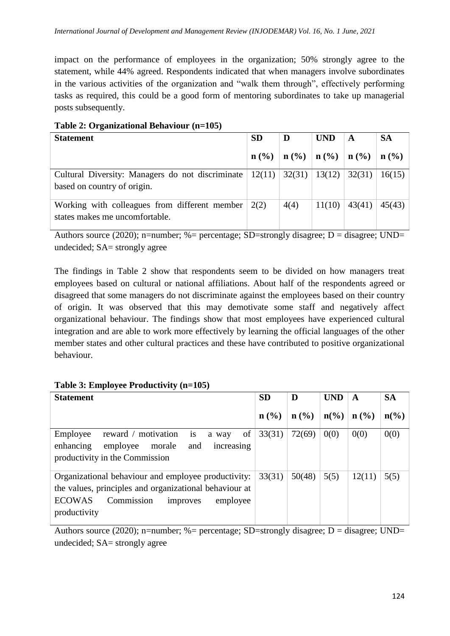impact on the performance of employees in the organization; 50% strongly agree to the statement, while 44% agreed. Respondents indicated that when managers involve subordinates in the various activities of the organization and "walk them through", effectively performing tasks as required, this could be a good form of mentoring subordinates to take up managerial posts subsequently.

| <b>Statement</b>                                                                                               | <b>SD</b>  | D                                             | <b>UND</b> | A      | <b>SA</b>                   |
|----------------------------------------------------------------------------------------------------------------|------------|-----------------------------------------------|------------|--------|-----------------------------|
|                                                                                                                | $n ( \% )$ | $\mid$ n (%) $\mid$ n (%) $\mid$ n (%) $\mid$ |            |        | $n\left(\frac{0}{0}\right)$ |
| Cultural Diversity: Managers do not discriminate $  12(11)   32(31)   13(12)  $<br>based on country of origin. |            |                                               |            | 32(31) | 16(15)                      |
| Working with colleagues from different member $\vert$ 2(2)<br>states makes me uncomfortable.                   |            | 4(4)                                          | 11(10)     | 43(41) | 45(43)                      |

### **Table 2: Organizational Behaviour (n=105)**

Authors source (2020); n=number; %= percentage; SD=strongly disagree; D = disagree; UND= undecided; SA= strongly agree

The findings in Table 2 show that respondents seem to be divided on how managers treat employees based on cultural or national affiliations. About half of the respondents agreed or disagreed that some managers do not discriminate against the employees based on their country of origin. It was observed that this may demotivate some staff and negatively affect organizational behaviour. The findings show that most employees have experienced cultural integration and are able to work more effectively by learning the official languages of the other member states and other cultural practices and these have contributed to positive organizational behaviour.

| <b>Statement</b>                                                                                                                                                                     | <b>SD</b>                   | D      | <b>UND</b>                  | A      | <b>SA</b>       |
|--------------------------------------------------------------------------------------------------------------------------------------------------------------------------------------|-----------------------------|--------|-----------------------------|--------|-----------------|
|                                                                                                                                                                                      | $n\left(\frac{0}{0}\right)$ | n(%)   | $n\left(\frac{0}{0}\right)$ | n(%)   | $n\binom{0}{0}$ |
| is<br>of<br>reward / motivation<br>Employee<br>a way<br>employee<br>enhancing<br>morale<br>increasing<br>and<br>productivity in the Commission                                       | 33(31)                      | 72(69) | 0(0)                        | 0(0)   | 0(0)            |
| Organizational behaviour and employee productivity:<br>the values, principles and organizational behaviour at<br><b>ECOWAS</b><br>Commission<br>employee<br>improves<br>productivity | 33(31)                      | 50(48) | 5(5)                        | 12(11) | 5(5)            |

### **Table 3: Employee Productivity (n=105)**

Authors source (2020); n=number; %= percentage; SD=strongly disagree; D = disagree; UND= undecided; SA= strongly agree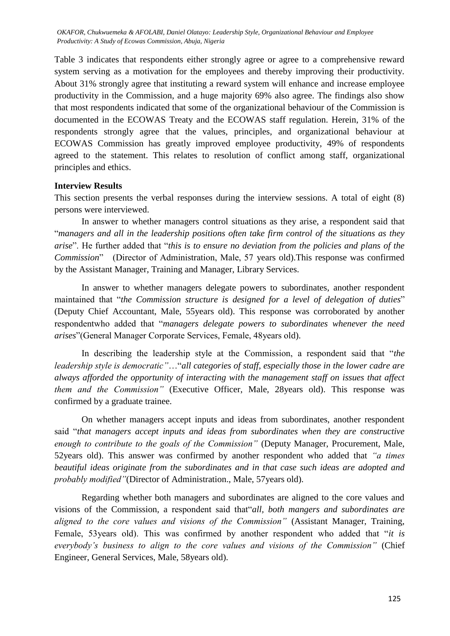Table 3 indicates that respondents either strongly agree or agree to a comprehensive reward system serving as a motivation for the employees and thereby improving their productivity. About 31% strongly agree that instituting a reward system will enhance and increase employee productivity in the Commission, and a huge majority 69% also agree. The findings also show that most respondents indicated that some of the organizational behaviour of the Commission is documented in the ECOWAS Treaty and the ECOWAS staff regulation. Herein, 31% of the respondents strongly agree that the values, principles, and organizational behaviour at ECOWAS Commission has greatly improved employee productivity, 49% of respondents agreed to the statement. This relates to resolution of conflict among staff, organizational principles and ethics.

### **Interview Results**

This section presents the verbal responses during the interview sessions. A total of eight (8) persons were interviewed.

In answer to whether managers control situations as they arise, a respondent said that ―*managers and all in the leadership positions often take firm control of the situations as they arise*". He further added that "*this is to ensure no deviation from the policies and plans of the Commission*‖ (Director of Administration, Male, 57 years old).This response was confirmed by the Assistant Manager, Training and Manager, Library Services.

In answer to whether managers delegate powers to subordinates, another respondent maintained that "the Commission structure is designed for a level of delegation of duties" (Deputy Chief Accountant, Male, 55years old). This response was corroborated by another respondentwho added that "*managers delegate powers to subordinates whenever the need arises*‖(General Manager Corporate Services, Female, 48years old).

In describing the leadership style at the Commission, a respondent said that "*the leadership style is democratic"...*"*all categories of staff, especially those in the lower cadre are always afforded the opportunity of interacting with the management staff on issues that affect them and the Commission"* (Executive Officer, Male, 28years old). This response was confirmed by a graduate trainee.

On whether managers accept inputs and ideas from subordinates, another respondent said "that managers accept inputs and ideas from subordinates when they are constructive *enough to contribute to the goals of the Commission"* (Deputy Manager, Procurement, Male, 52years old). This answer was confirmed by another respondent who added that *"a times beautiful ideas originate from the subordinates and in that case such ideas are adopted and probably modified"*(Director of Administration., Male, 57years old).

Regarding whether both managers and subordinates are aligned to the core values and visions of the Commission, a respondent said that<sup>"</sup>all, both mangers and subordinates are *aligned to the core values and visions of the Commission"* (Assistant Manager, Training, Female, 53 years old). This was confirmed by another respondent who added that "*it is everybody's business to align to the core values and visions of the Commission"* (Chief Engineer, General Services, Male, 58years old).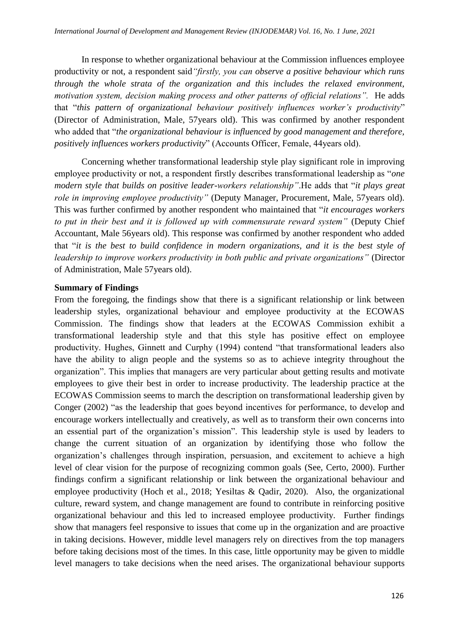In response to whether organizational behaviour at the Commission influences employee productivity or not, a respondent said*"firstly, you can observe a positive behaviour which runs through the whole strata of the organization and this includes the relaxed environment, motivation system, decision making process and other patterns of official relations".* He adds that "this pattern of organizational behaviour positively influences worker's productivity" (Director of Administration, Male, 57years old). This was confirmed by another respondent who added that "*the organizational behaviour is influenced by good management and therefore*, *positively influences workers productivity*‖ (Accounts Officer, Female, 44years old).

Concerning whether transformational leadership style play significant role in improving employee productivity or not, a respondent firstly describes transformational leadership as "*one modern style that builds on positive leader-workers relationship*". He adds that "*it plays great role in improving employee productivity"* (Deputy Manager, Procurement, Male, 57years old). This was further confirmed by another respondent who maintained that "*it encourages workers to put in their best and it is followed up with commensurate reward system"* (Deputy Chief Accountant, Male 56years old). This response was confirmed by another respondent who added that "*it is the best to build confidence in modern organizations, and it is the best style of leadership to improve workers productivity in both public and private organizations"* (Director of Administration, Male 57years old).

### **Summary of Findings**

From the foregoing, the findings show that there is a significant relationship or link between leadership styles, organizational behaviour and employee productivity at the ECOWAS Commission. The findings show that leaders at the ECOWAS Commission exhibit a transformational leadership style and that this style has positive effect on employee productivity. Hughes, Ginnett and Curphy (1994) contend "that transformational leaders also have the ability to align people and the systems so as to achieve integrity throughout the organization". This implies that managers are very particular about getting results and motivate employees to give their best in order to increase productivity. The leadership practice at the ECOWAS Commission seems to march the description on transformational leadership given by Conger (2002) "as the leadership that goes beyond incentives for performance, to develop and encourage workers intellectually and creatively, as well as to transform their own concerns into an essential part of the organization's mission". This leadership style is used by leaders to change the current situation of an organization by identifying those who follow the organization's challenges through inspiration, persuasion, and excitement to achieve a high level of clear vision for the purpose of recognizing common goals (See, Certo, 2000). Further findings confirm a significant relationship or link between the organizational behaviour and employee productivity (Hoch et al., 2018; Yesiltas & Qadir, 2020). Also, the organizational culture, reward system, and change management are found to contribute in reinforcing positive organizational behaviour and this led to increased employee productivity. Further findings show that managers feel responsive to issues that come up in the organization and are proactive in taking decisions. However, middle level managers rely on directives from the top managers before taking decisions most of the times. In this case, little opportunity may be given to middle level managers to take decisions when the need arises. The organizational behaviour supports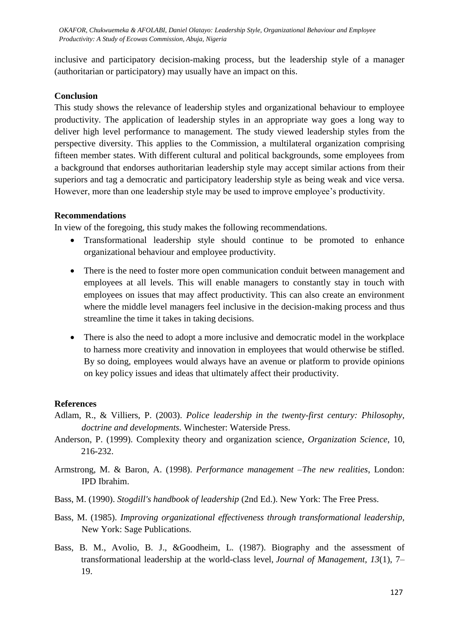inclusive and participatory decision-making process, but the leadership style of a manager (authoritarian or participatory) may usually have an impact on this.

# **Conclusion**

This study shows the relevance of leadership styles and organizational behaviour to employee productivity. The application of leadership styles in an appropriate way goes a long way to deliver high level performance to management. The study viewed leadership styles from the perspective diversity. This applies to the Commission, a multilateral organization comprising fifteen member states. With different cultural and political backgrounds, some employees from a background that endorses authoritarian leadership style may accept similar actions from their superiors and tag a democratic and participatory leadership style as being weak and vice versa. However, more than one leadership style may be used to improve employee's productivity.

# **Recommendations**

In view of the foregoing, this study makes the following recommendations.

- Transformational leadership style should continue to be promoted to enhance organizational behaviour and employee productivity.
- There is the need to foster more open communication conduit between management and employees at all levels. This will enable managers to constantly stay in touch with employees on issues that may affect productivity. This can also create an environment where the middle level managers feel inclusive in the decision-making process and thus streamline the time it takes in taking decisions.
- There is also the need to adopt a more inclusive and democratic model in the workplace to harness more creativity and innovation in employees that would otherwise be stifled. By so doing, employees would always have an avenue or platform to provide opinions on key policy issues and ideas that ultimately affect their productivity.

# **References**

- Adlam, R., & Villiers, P. (2003). *Police leadership in the twenty-first century: Philosophy, doctrine and developments.* Winchester: Waterside Press.
- Anderson, P. (1999). Complexity theory and organization science, *Organization Science*, 10, 216-232.
- Armstrong, M. & Baron, A. (1998). *Performance management –The new realities*, London: IPD Ibrahim.
- Bass, M. (1990). *Stogdill's handbook of leadership* (2nd Ed.). New York: The Free Press.
- Bass, M. (1985). *Improving organizational effectiveness through transformational leadership,* New York: Sage Publications.
- Bass, B. M., Avolio, B. J., &Goodheim, L. (1987). Biography and the assessment of transformational leadership at the world-class level, *Journal of Management, 13*(1), 7– 19.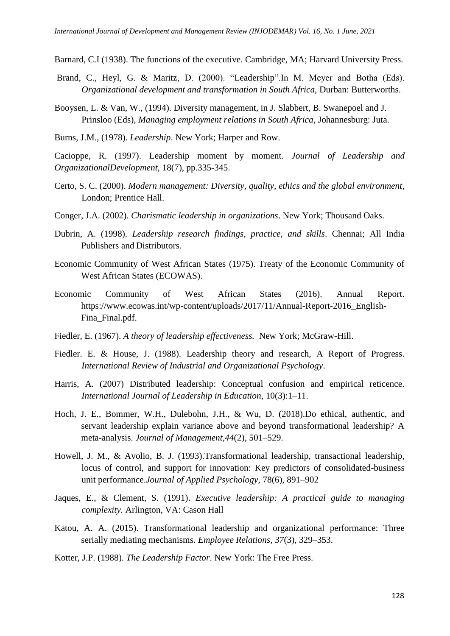Barnard, C.I (1938). The functions of the executive. Cambridge, MA; Harvard University Press.

- Brand, C., Heyl, G. & Maritz, D. (2000). "Leadership". In M. Meyer and Botha (Eds). *Organizational development and transformation in South Africa,* Durban: Butterworths.
- Booysen, L. & Van, W., (1994). Diversity management, in J. Slabbert, B. Swanepoel and J. Prinsloo (Eds), *Managing employment relations in South Africa*, Johannesburg: Juta.
- Burns, J.M., (1978). *Leadership*. New York; Harper and Row.

Cacioppe, R. (1997). Leadership moment by moment. *Journal of Leadership and OrganizationalDevelopment,* 18(7), pp.335-345.

- Certo, S. C. (2000). *Modern management: Diversity, quality, ethics and the global environment*, London; Prentice Hall.
- Conger, J.A. (2002). *Charismatic leadership in organizations*. New York; Thousand Oaks.
- Dubrin, A. (1998). *Leadership research findings, practice, and skills*. Chennai; All India Publishers and Distributors.
- Economic Community of West African States (1975). Treaty of the Economic Community of West African States (ECOWAS).
- Economic Community of West African States (2016). Annual Report. https://www.ecowas.int/wp-content/uploads/2017/11/Annual-Report-2016\_English-Fina\_Final.pdf.
- Fiedler, E. (1967). *A theory of leadership effectiveness.* New York; McGraw-Hill.
- Fiedler. E. & House, J. (1988). Leadership theory and research, A Report of Progress. *International Review of Industrial and Organizational Psychology*.
- Harris, A. (2007) Distributed leadership: Conceptual confusion and empirical reticence*. International Journal of Leadership in Education*, 10(3):1–11.
- Hoch, J. E., Bommer, W.H., Dulebohn, J.H., & Wu, D. (2018).Do ethical, authentic, and servant leadership explain variance above and beyond transformational leadership? A meta-analysis. *Journal of Management,44*(2), 501–529.
- Howell, J. M., & Avolio, B. J. (1993).Transformational leadership, transactional leadership, locus of control, and support for innovation: Key predictors of consolidated-business unit performance.*Journal of Applied Psychology*, 78(6), 891–902
- Jaques, E., & Clement, S. (1991). *Executive leadership: A practical guide to managing complexity.* Arlington, VA: Cason Hall
- Katou, A. A. (2015). Transformational leadership and organizational performance: Three serially mediating mechanisms. *Employee Relations, 37*(3), 329–353.
- Kotter, J.P. (1988). *The Leadership Factor*. New York: The Free Press.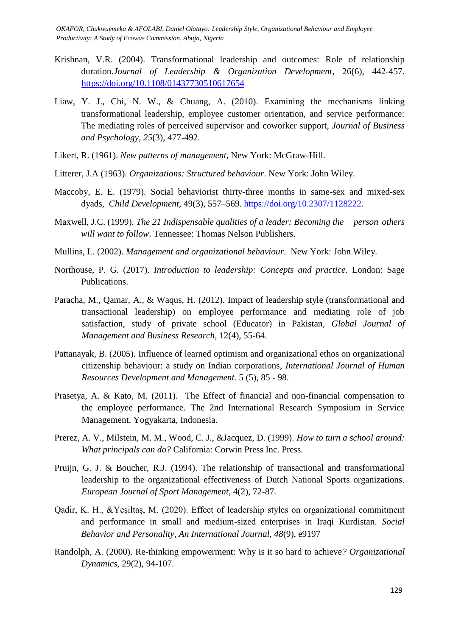- Krishnan, V.R. (2004). Transformational leadership and outcomes: Role of relationship duration.*Journal of Leadership & Organization Development*, 26(6), 442-457. <https://doi.org/10.1108/01437730510617654>
- Liaw, Y. J., Chi, N. W., & Chuang, A. (2010). Examining the mechanisms linking transformational leadership, employee customer orientation, and service performance: The mediating roles of perceived supervisor and coworker support, *Journal of Business and Psychology, 25*(3), 477-492.
- Likert, R. (1961). *New patterns of management*, New York: McGraw-Hill.
- Litterer, J.A (1963). *Organizations: Structured behaviour*. New York: John Wiley.
- Maccoby, E. E. (1979). Social behaviorist thirty-three months in same-sex and mixed-sex dyads*, Child Development*, 49(3), 557–569. [https://doi.org/10.2307/1128222.](https://doi.org/10.2307/1128222)
- Maxwell, J.C. (1999). *The 21 Indispensable qualities of a leader: Becoming the person others will want to follow*. Tennessee: Thomas Nelson Publishers.
- Mullins, L. (2002). *Management and organizational behaviour*. New York: John Wiley.
- Northouse, P. G. (2017). *Introduction to leadership: Concepts and practice*. London: Sage Publications.
- Paracha, M., Qamar, A., & Waqus, H. (2012). Impact of leadership style (transformational and transactional leadership) on employee performance and mediating role of job satisfaction, study of private school (Educator) in Pakistan*, Global Journal of Management and Business Research,* 12(4), 55-64.
- Pattanayak, B. (2005). Influence of learned optimism and organizational ethos on organizational citizenship behaviour: a study on Indian corporations, *International Journal of Human Resources Development and Management.* 5 (5), 85 - 98.
- Prasetya, A. & Kato, M. (2011). The Effect of financial and non-financial compensation to the employee performance. The 2nd International Research Symposium in Service Management. Yogyakarta, Indonesia.
- Prerez, A. V., Milstein, M. M., Wood, C. J., &Jacquez, D. (1999). *How to turn a school around: What principals can do?* California: Corwin Press Inc. Press.
- Pruijn, G. J. & Boucher, R.J. (1994). The relationship of transactional and transformational leadership to the organizational effectiveness of Dutch National Sports organizations. *European Journal of Sport Management*, 4(2), 72-87.
- Qadir, K. H., &Yeşiltaş, M. (2020). Effect of leadership styles on organizational commitment and performance in small and medium-sized enterprises in Iraqi Kurdistan. *Social Behavior and Personality, An International Journal, 48*(9), e9197
- Randolph, A. (2000). Re-thinking empowerment: Why is it so hard to achieve*? Organizational Dynamics,* 29(2), 94-107.